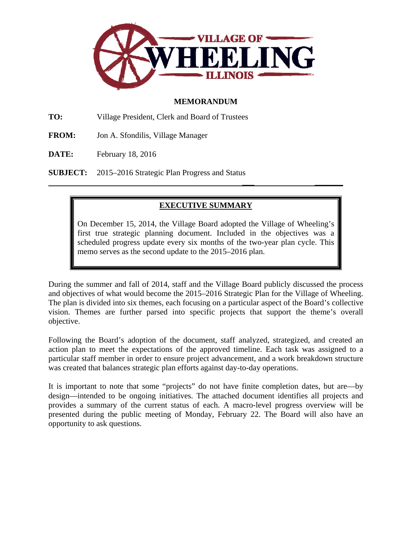

# **MEMORANDUM**

**TO:** Village President, Clerk and Board of Trustees

- **FROM:** Jon A. Sfondilis, Village Manager
- **DATE:** February 18, 2016

**SUBJECT:** 2015–2016 Strategic Plan Progress and Status

# **EXECUTIVE SUMMARY**

 **\_\_\_ \_\_\_\_\_\_\_** 

On December 15, 2014, the Village Board adopted the Village of Wheeling's first true strategic planning document. Included in the objectives was a scheduled progress update every six months of the two-year plan cycle. This memo serves as the second update to the 2015–2016 plan.

During the summer and fall of 2014, staff and the Village Board publicly discussed the process and objectives of what would become the 2015–2016 Strategic Plan for the Village of Wheeling. The plan is divided into six themes, each focusing on a particular aspect of the Board's collective vision. Themes are further parsed into specific projects that support the theme's overall objective.

Following the Board's adoption of the document, staff analyzed, strategized, and created an action plan to meet the expectations of the approved timeline. Each task was assigned to a particular staff member in order to ensure project advancement, and a work breakdown structure was created that balances strategic plan efforts against day-to-day operations.

It is important to note that some "projects" do not have finite completion dates, but are—by design—intended to be ongoing initiatives. The attached document identifies all projects and provides a summary of the current status of each. A macro-level progress overview will be presented during the public meeting of Monday, February 22. The Board will also have an opportunity to ask questions.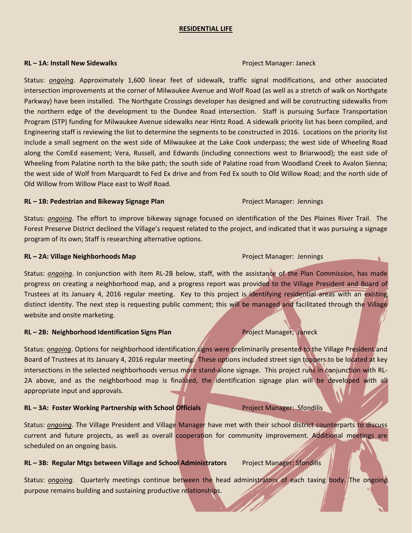#### **RESIDENTIAL LIFE**

#### **RL – 1A: Install New Sidewalks** Project Manager: Janeck

Status: *ongoing*. Approximately 1,600 linear feet of sidewalk, traffic signal modifications, and other associated intersection improvements at the corner of Milwaukee Avenue and Wolf Road (as well as a stretch of walk on Northgate Parkway) have been installed. The Northgate Crossings developer has designed and will be constructing sidewalks from the northern edge of the development to the Dundee Road intersection. Staff is pursuing Surface Transportation Program (STP) funding for Milwaukee Avenue sidewalks near Hintz Road. A sidewalk priority list has been compiled, and Engineering staff is reviewing the list to determine the segments to be constructed in 2016. Locations on the priority list include a small segment on the west side of Milwaukee at the Lake Cook underpass; the west side of Wheeling Road along the ComEd easement; Vera, Russell, and Edwards (including connections west to Briarwood); the east side of Wheeling from Palatine north to the bike path; the south side of Palatine road from Woodland Creek to Avalon Sienna; the west side of Wolf from Marquardt to Fed Ex drive and from Fed Ex south to Old Willow Road; and the north side of Old Willow from Willow Place east to Wolf Road.

#### **RL – 1B: Pedestrian and Bikeway Signage Plan** Project Manager: Jennings

Status: *ongoing*. The effort to improve bikeway signage focused on identification of the Des Plaines River Trail. The Forest Preserve District declined the Village's request related to the project, and indicated that it was pursuing a signage program of its own; Staff is researching alternative options.

#### **RL – 2A: Village Neighborhoods Map** Project Manager: Jennings

Status: *ongoing*. In conjunction with item RL-2B below, staff, with the assistance of the Plan Commission, has made progress on creating a neighborhood map, and a progress report was provided to the Village President and Board of Trustees at its January 4, 2016 regular meeting. Key to this project is identifying residential areas with an existing distinct identity. The next step is requesting public comment; this will be managed and facilitated through the Village website and onsite marketing.

### **RL – 2B: Neighborhood Identification Signs Plan** Project Manager: Janeck

Status: *ongoing*. Options for neighborhood identification signs were preliminarily presented to the Village President and Board of Trustees at its January 4, 2016 regular meeting. These options included street sign toppers to be located at key intersections in the selected neighborhoods versus more stand-alone signage. This project runs in conjunction with RL-2A above, and as the neighborhood map is finalized, the identification signage plan will be developed with all appropriate input and approvals.

### **RL – 3A: Foster Working Partnership with School Officials** Project Manager: Sfondilis

Status: *ongoing*. The Village President and Village Manager have met with their school district counterparts to discuss current and future projects, as well as overall cooperation for community improvement. Additional meetings are scheduled on an ongoing basis.

### **RL – 3B: Regular Mtgs between Village and School Administrators** Project Manager: Sfondilis

Status: *ongoing*. Quarterly meetings continue between the head administrators of each taxing body. The ongoing purpose remains building and sustaining productive relationships.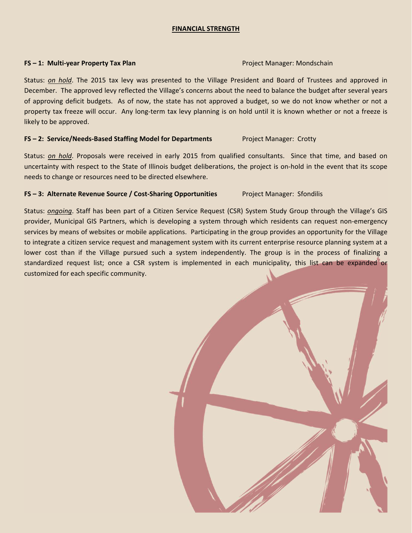### **FINANCIAL STRENGTH**

#### **FS – 1: Multi‐year Property Tax Plan** Project Manager: Mondschain

Status: *on hold*. The 2015 tax levy was presented to the Village President and Board of Trustees and approved in December. The approved levy reflected the Village's concerns about the need to balance the budget after several years of approving deficit budgets. As of now, the state has not approved a budget, so we do not know whether or not a property tax freeze will occur. Any long-term tax levy planning is on hold until it is known whether or not a freeze is likely to be approved.

### **FS – 2: Service/Needs‐Based Staffing Model for Departments** Project Manager: Crotty

Status: *on hold*. Proposals were received in early 2015 from qualified consultants. Since that time, and based on uncertainty with respect to the State of Illinois budget deliberations, the project is on‐hold in the event that its scope needs to change or resources need to be directed elsewhere.

## **FS – 3: Alternate Revenue Source / Cost‐Sharing Opportunities** Project Manager: Sfondilis

Status: *ongoing*. Staff has been part of a Citizen Service Request (CSR) System Study Group through the Village's GIS provider, Municipal GIS Partners, which is developing a system through which residents can request non‐emergency services by means of websites or mobile applications. Participating in the group provides an opportunity for the Village to integrate a citizen service request and management system with its current enterprise resource planning system at a lower cost than if the Village pursued such a system independently. The group is in the process of finalizing a standardized request list; once a CSR system is implemented in each municipality, this list can be expanded or customized for each specific community.

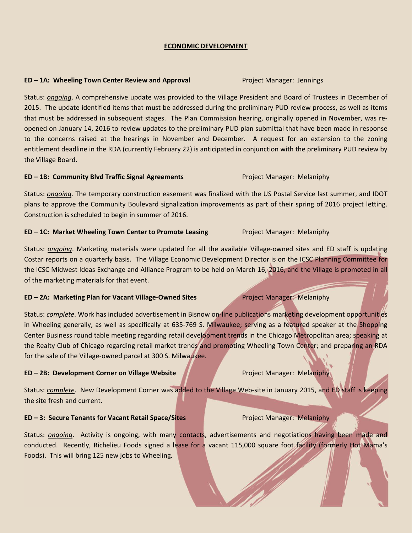## **ECONOMIC DEVELOPMENT**

## **ED – 1A: Wheeling Town Center Review and Approval** Project Manager: Jennings

Status: *ongoing*. A comprehensive update was provided to the Village President and Board of Trustees in December of 2015. The update identified items that must be addressed during the preliminary PUD review process, as well as items that must be addressed in subsequent stages. The Plan Commission hearing, originally opened in November, was re‐ opened on January 14, 2016 to review updates to the preliminary PUD plan submittal that have been made in response to the concerns raised at the hearings in November and December. A request for an extension to the zoning entitlement deadline in the RDA (currently February 22) is anticipated in conjunction with the preliminary PUD review by the Village Board.

#### **ED – 1B: Community Blvd Traffic Signal Agreements** Project Manager: Melaniphy

Status: *ongoing*. The temporary construction easement was finalized with the US Postal Service last summer, and IDOT plans to approve the Community Boulevard signalization improvements as part of their spring of 2016 project letting. Construction is scheduled to begin in summer of 2016.

#### **ED – 1C: Market Wheeling Town Center to Promote Leasing** Project Manager: Melaniphy

Status: *ongoing*. Marketing materials were updated for all the available Village-owned sites and ED staff is updating Costar reports on a quarterly basis. The Village Economic Development Director is on the ICSC Planning Committee for the ICSC Midwest Ideas Exchange and Alliance Program to be held on March 16, 2016, and the Village is promoted in all of the marketing materials for that event.

### **ED – 2A: Marketing Plan for Vacant Village‐Owned Sites** Project Manager: Melaniphy

Status: *complete*. Work has included advertisement in Bisnow on-line publications marketing development opportunities in Wheeling generally, as well as specifically at 635-769 S. Milwaukee; serving as a featured speaker at the Shopping Center Business round table meeting regarding retail development trends in the Chicago Metropolitan area; speaking at the Realty Club of Chicago regarding retail market trends and promoting Wheeling Town Center; and preparing an RDA for the sale of the Village‐owned parcel at 300 S. Milwaukee.

#### **ED – 2B: Development Corner on Village Website** Project Manager: Melaniphy

Status: *complete*. New Development Corner was added to the Village Web‐site in January 2015, and ED staff is keeping the site fresh and current.

### **ED – 3: Secure Tenants for Vacant Retail Space/Sites** Project Manager: Melaniphy

Status: *ongoing*. Activity is ongoing, with many contacts, advertisements and negotiations having been made and conducted. Recently, Richelieu Foods signed a lease for a vacant 115,000 square foot facility (formerly Hot Mama's Foods). This will bring 125 new jobs to Wheeling*.*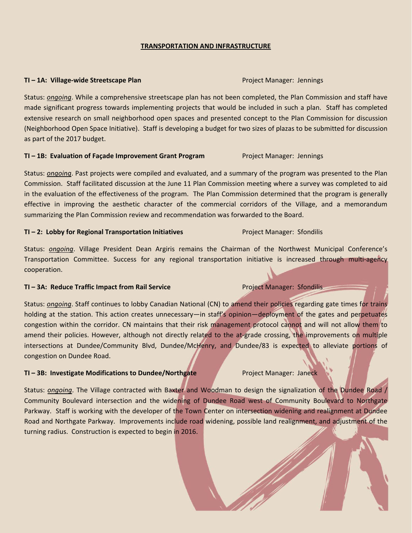#### **TRANSPORTATION AND INFRASTRUCTURE**

#### **TI – 1A: Village‐wide Streetscape Plan** Project Manager: Jennings

Status: *ongoing*. While a comprehensive streetscape plan has not been completed, the Plan Commission and staff have made significant progress towards implementing projects that would be included in such a plan. Staff has completed extensive research on small neighborhood open spaces and presented concept to the Plan Commission for discussion (Neighborhood Open Space Initiative). Staff is developing a budget for two sizes of plazas to be submitted for discussion as part of the 2017 budget.

#### **TI – 1B: Evaluation of Façade Improvement Grant Program** Project Manager: Jennings

Status: *ongoing*. Past projects were compiled and evaluated, and a summary of the program was presented to the Plan Commission. Staff facilitated discussion at the June 11 Plan Commission meeting where a survey was completed to aid in the evaluation of the effectiveness of the program. The Plan Commission determined that the program is generally effective in improving the aesthetic character of the commercial corridors of the Village, and a memorandum summarizing the Plan Commission review and recommendation was forwarded to the Board.

#### **TI – 2: Lobby for Regional Transportation Initiatives** Project Manager: Sfondilis

Status: *ongoing*. Village President Dean Argiris remains the Chairman of the Northwest Municipal Conference's Transportation Committee. Success for any regional transportation initiative is increased through multi‐agency cooperation.

### **TI – 3A: Reduce Traffic Impact from Rail Service** Project Manager: Sfondilis

Status: *ongoing*. Staff continues to lobby Canadian National (CN) to amend their policies regarding gate times for trains holding at the station. This action creates unnecessary—in staff's opinion—deployment of the gates and perpetuates congestion within the corridor. CN maintains that their risk management protocol cannot and will not allow them to amend their policies. However, although not directly related to the at-grade crossing, the improvements on multiple intersections at Dundee/Community Blvd, Dundee/McHenry, and Dundee/83 is expected to alleviate portions of congestion on Dundee Road.

### **TI – 3B: Investigate Modifications to Dundee/Northgate** Project Manager: Janeck

Status: *ongoing*. The Village contracted with Baxter and Woodman to design the signalization of the Dundee Road / Community Boulevard intersection and the widening of Dundee Road west of Community Boulevard to Northgate Parkway. Staff is working with the developer of the Town Center on intersection widening and realignment at Dundee Road and Northgate Parkway. Improvements include road widening, possible land realignment, and adjustment of the turning radius. Construction is expected to begin in 2016.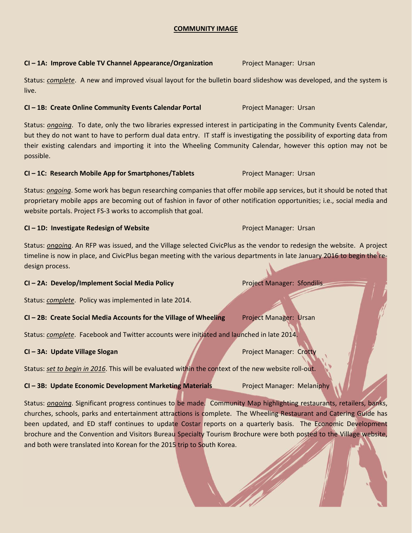### **COMMUNITY IMAGE**

### **CI – 1A: Improve Cable TV Channel Appearance/Organization** Project Manager: Ursan

Status: *complete*. A new and improved visual layout for the bulletin board slideshow was developed, and the system is live.

## **CI – 1B: Create Online Community Events Calendar Portal** Project Manager: Ursan

Status: *ongoing*. To date, only the two libraries expressed interest in participating in the Community Events Calendar, but they do not want to have to perform dual data entry. IT staff is investigating the possibility of exporting data from their existing calendars and importing it into the Wheeling Community Calendar, however this option may not be possible.

#### **CI – 1C: Research Mobile App for Smartphones/Tablets** Project Manager: Ursan

Status: *ongoing*. Some work has begun researching companies that offer mobile app services, but it should be noted that proprietary mobile apps are becoming out of fashion in favor of other notification opportunities; i.e., social media and website portals. Project FS‐3 works to accomplish that goal.

### **CI – 1D: Investigate Redesign of Website** Project Manager: Ursan

Status: *ongoing*. An RFP was issued, and the Village selected CivicPlus as the vendor to redesign the website. A project timeline is now in place, and CivicPlus began meeting with the various departments in late January 2016 to begin the redesign process.

## **CI – 2A: Develop/Implement Social Media Policy** Project Manager: Sfondilis

Status: *complete*. Policy was implemented in late 2014.

### **CI – 2B: Create Social Media Accounts for the Village of Wheeling** Project Manager: Ursan

Status: *complete*. Facebook and Twitter accounts were initiated and launched in late 2014.

### **CI – 3A: Update Village Slogan** Project Manager: Crotty

Status: *set to begin in 2016*. This will be evaluated within the context of the new website roll‐out.

**CI – 3B: Update Economic Development Marketing Materials** Project Manager: Melaniphy

Status: *ongoing*. Significant progress continues to be made. Community Map highlighting restaurants, retailers, banks, churches, schools, parks and entertainment attractions is complete. The Wheeling Restaurant and Catering Guide has been updated, and ED staff continues to update Costar reports on a quarterly basis. The Economic Development brochure and the Convention and Visitors Bureau Specialty Tourism Brochure were both posted to the Village website, and both were translated into Korean for the 2015 trip to South Korea.